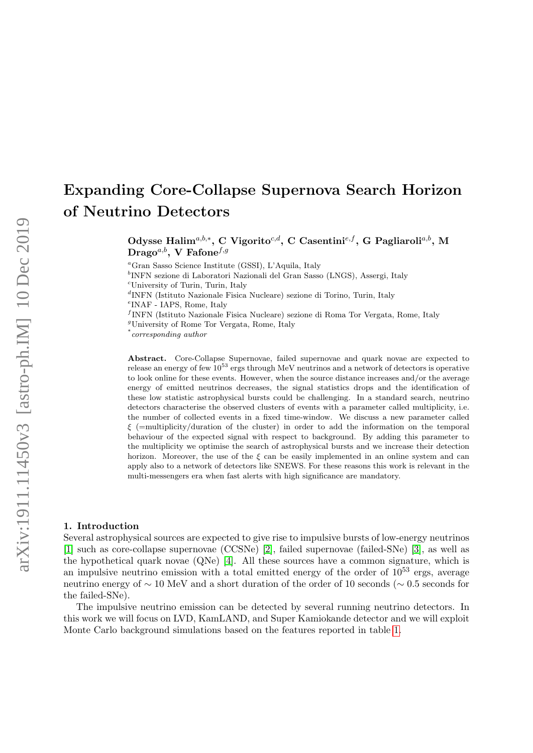# Expanding Core-Collapse Supernova Search Horizon of Neutrino Detectors

Odysse Halim<sup>a,b,\*</sup>, C Vigorito<sup>c,d</sup>, C Casentini<sup>e,f</sup>, G Pagliaroli<sup>a,b</sup>, M  $\text{Diago}^{a,b}$ , V Fafone<sup>f,g</sup>

<sup>a</sup>Gran Sasso Science Institute (GSSI), L'Aquila, Italy

b INFN sezione di Laboratori Nazionali del Gran Sasso (LNGS), Assergi, Italy

<sup>c</sup>University of Turin, Turin, Italy

d INFN (Istituto Nazionale Fisica Nucleare) sezione di Torino, Turin, Italy

e INAF - IAPS, Rome, Italy

f INFN (Istituto Nazionale Fisica Nucleare) sezione di Roma Tor Vergata, Rome, Italy

<sup>g</sup>University of Rome Tor Vergata, Rome, Italy

\* corresponding author

Abstract. Core-Collapse Supernovae, failed supernovae and quark novae are expected to release an energy of few 10<sup>53</sup> ergs through MeV neutrinos and a network of detectors is operative to look online for these events. However, when the source distance increases and/or the average energy of emitted neutrinos decreases, the signal statistics drops and the identification of these low statistic astrophysical bursts could be challenging. In a standard search, neutrino detectors characterise the observed clusters of events with a parameter called multiplicity, i.e. the number of collected events in a fixed time-window. We discuss a new parameter called  $\xi$  (=multiplicity/duration of the cluster) in order to add the information on the temporal behaviour of the expected signal with respect to background. By adding this parameter to the multiplicity we optimise the search of astrophysical bursts and we increase their detection horizon. Moreover, the use of the  $\xi$  can be easily implemented in an online system and can apply also to a network of detectors like SNEWS. For these reasons this work is relevant in the multi-messengers era when fast alerts with high significance are mandatory.

#### 1. Introduction

Several astrophysical sources are expected to give rise to impulsive bursts of low-energy neutrinos [\[1\]](#page-3-0) such as core-collapse supernovae (CCSNe) [\[2\]](#page-3-1), failed supernovae (failed-SNe) [\[3\]](#page-3-2), as well as the hypothetical quark novae (QNe) [\[4\]](#page-3-3). All these sources have a common signature, which is an impulsive neutrino emission with a total emitted energy of the order of  $10^{53}$  ergs, average neutrino energy of ∼ 10 MeV and a short duration of the order of 10 seconds (∼ 0.5 seconds for the failed-SNe).

The impulsive neutrino emission can be detected by several running neutrino detectors. In this work we will focus on LVD, KamLAND, and Super Kamiokande detector and we will exploit Monte Carlo background simulations based on the features reported in table [1.](#page-1-0)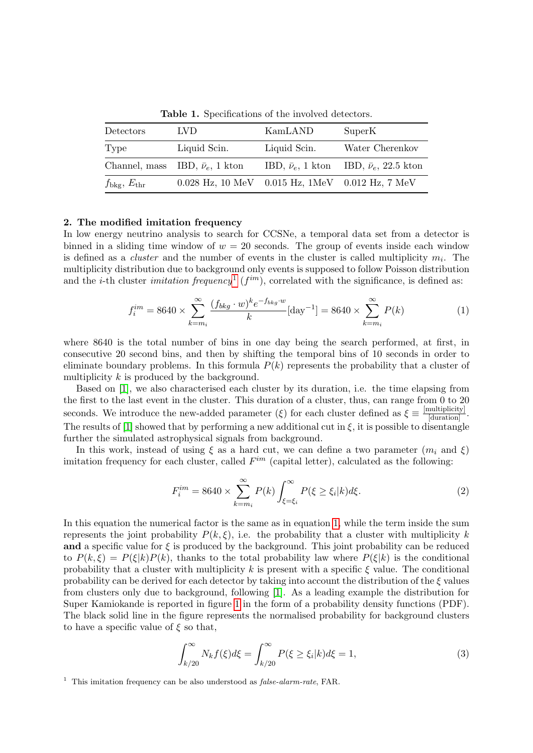| Detectors                  | LVD.                                                  | KamLAND      | SuperK                                                     |
|----------------------------|-------------------------------------------------------|--------------|------------------------------------------------------------|
| Type                       | Liquid Scin.                                          | Liquid Scin. | Water Cherenkov                                            |
|                            | Channel, mass IBD, $\bar{\nu}_e$ , 1 kton             |              | IBD, $\bar{\nu}_e$ , 1 kton IBD, $\bar{\nu}_e$ , 22.5 kton |
| $f_{\rm bkg}, E_{\rm thr}$ | $0.028$ Hz, 10 MeV $0.015$ Hz, 1MeV $0.012$ Hz, 7 MeV |              |                                                            |

<span id="page-1-0"></span>Table 1. Specifications of the involved detectors.

### 2. The modified imitation frequency

In low energy neutrino analysis to search for CCSNe, a temporal data set from a detector is binned in a sliding time window of  $w = 20$  seconds. The group of events inside each window is defined as a *cluster* and the number of events in the cluster is called multiplicity  $m_i$ . The multiplicity distribution due to background only events is supposed to follow Poisson distribution and the *i*-th cluster *imitation frequency*<sup>[1](#page-1-1)</sup> ( $f^{im}$ ), correlated with the significance, is defined as:

<span id="page-1-2"></span>
$$
f_i^{im} = 8640 \times \sum_{k=m_i}^{\infty} \frac{(f_{bkg} \cdot w)^k e^{-f_{bkg} \cdot w}}{k} [\text{day}^{-1}] = 8640 \times \sum_{k=m_i}^{\infty} P(k) \tag{1}
$$

where 8640 is the total number of bins in one day being the search performed, at first, in consecutive 20 second bins, and then by shifting the temporal bins of 10 seconds in order to eliminate boundary problems. In this formula  $P(k)$  represents the probability that a cluster of multiplicity k is produced by the background.

Based on [\[1\]](#page-3-0), we also characterised each cluster by its duration, i.e. the time elapsing from the first to the last event in the cluster. This duration of a cluster, thus, can range from 0 to 20 seconds. We introduce the new-added parameter ( $\xi$ ) for each cluster defined as  $\xi \equiv \frac{[multiplier]}{[duration]}$ . The results of [\[1\]](#page-3-0) showed that by performing a new additional cut in  $\xi$ , it is possible to disentangle further the simulated astrophysical signals from background.

In this work, instead of using  $\xi$  as a hard cut, we can define a two parameter  $(m_i \text{ and } \xi)$ imitation frequency for each cluster, called  $F^{im}$  (capital letter), calculated as the following:

$$
F_i^{im} = 8640 \times \sum_{k=m_i}^{\infty} P(k) \int_{\xi=\xi_i}^{\infty} P(\xi \ge \xi_i | k) d\xi.
$$
 (2)

In this equation the numerical factor is the same as in equation [1,](#page-1-2) while the term inside the sum represents the joint probability  $P(k,\xi)$ , i.e. the probability that a cluster with multiplicity k and a specific value for  $\xi$  is produced by the background. This joint probability can be reduced to  $P(k,\xi) = P(\xi|k)P(k)$ , thanks to the total probability law where  $P(\xi|k)$  is the conditional probability that a cluster with multiplicity k is present with a specific  $\xi$  value. The conditional probability can be derived for each detector by taking into account the distribution of the  $\xi$  values from clusters only due to background, following [\[1\]](#page-3-0). As a leading example the distribution for Super Kamiokande is reported in figure [1](#page-2-0) in the form of a probability density functions (PDF). The black solid line in the figure represents the normalised probability for background clusters to have a specific value of  $\xi$  so that,

<span id="page-1-3"></span>
$$
\int_{k/20}^{\infty} N_k f(\xi) d\xi = \int_{k/20}^{\infty} P(\xi \ge \xi_i | k) d\xi = 1,
$$
\n(3)

<span id="page-1-1"></span><sup>1</sup> This imitation frequency can be also understood as  $false\text{-}alarm\text{-}rate$ , FAR.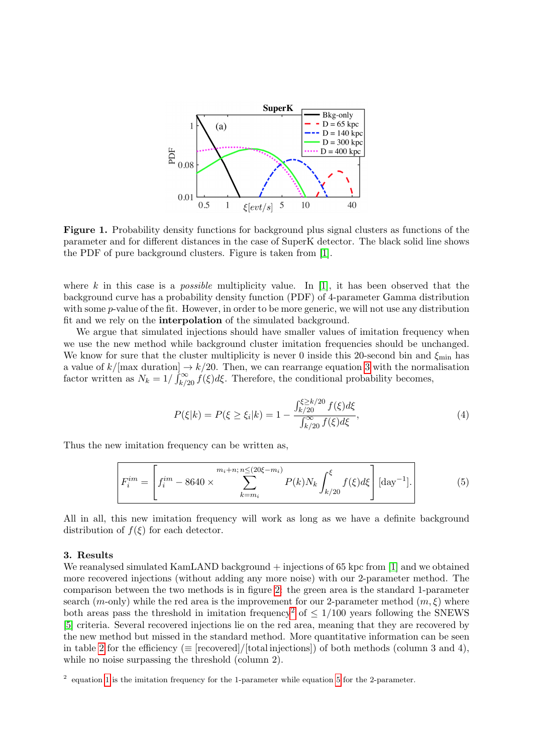

<span id="page-2-0"></span>Figure 1. Probability density functions for background plus signal clusters as functions of the parameter and for different distances in the case of SuperK detector. The black solid line shows the PDF of pure background clusters. Figure is taken from [\[1\]](#page-3-0).

where k in this case is a *possible* multiplicity value. In [\[1\]](#page-3-0), it has been observed that the background curve has a probability density function (PDF) of 4-parameter Gamma distribution with some *p*-value of the fit. However, in order to be more generic, we will not use any distribution fit and we rely on the interpolation of the simulated background.

We argue that simulated injections should have smaller values of imitation frequency when we use the new method while background cluster imitation frequencies should be unchanged. We know for sure that the cluster multiplicity is never 0 inside this 20-second bin and  $\xi_{\rm min}$  has a value of  $k/$ [max duration]  $\rightarrow k/20$ . Then, we can rearrange equation [3](#page-1-3) with the normalisation factor written as  $N_k = 1/\int_{k/20}^{\infty} f(\xi) d\xi$ . Therefore, the conditional probability becomes,

$$
P(\xi|k) = P(\xi \ge \xi_i|k) = 1 - \frac{\int_{k/20}^{\xi \ge k/20} f(\xi) d\xi}{\int_{k/20}^{\infty} f(\xi) d\xi},\tag{4}
$$

Thus the new imitation frequency can be written as,

<span id="page-2-2"></span>
$$
F_i^{im} = \left[ f_i^{im} - 8640 \times \sum_{k=m_i}^{m_i + n; n \le (20\xi - m_i)} P(k) N_k \int_{k/20}^{\xi} f(\xi) d\xi \right] [\text{day}^{-1}]. \tag{5}
$$

All in all, this new imitation frequency will work as long as we have a definite background distribution of  $f(\xi)$  for each detector.

## 3. Results

We reanalysed simulated KamLAND background + injections of 65 kpc from [\[1\]](#page-3-0) and we obtained more recovered injections (without adding any more noise) with our 2-parameter method. The comparison between the two methods is in figure [2:](#page-3-4) the green area is the standard 1-parameter search (m-only) while the red area is the improvement for our 2-parameter method  $(m, \xi)$  where both areas pass the threshold in imitation frequency<sup>[2](#page-2-1)</sup> of  $\leq 1/100$  years following the SNEWS [\[5\]](#page-3-5) criteria. Several recovered injections lie on the red area, meaning that they are recovered by the new method but missed in the standard method. More quantitative information can be seen in table [2](#page-3-6) for the efficiency ( $\equiv$  [recovered]/[total injections]) of both methods (column 3 and 4), while no noise surpassing the threshold (column 2).

<span id="page-2-1"></span><sup>&</sup>lt;sup>2</sup> equation [1](#page-1-2) is the imitation frequency for the 1-parameter while equation [5](#page-2-2) for the 2-parameter.